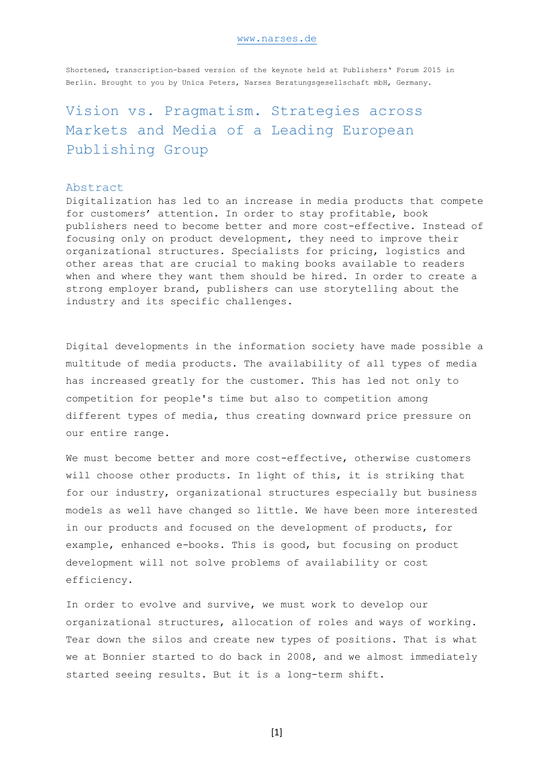#### [www.narses.de](http://www.narses.de/)

Shortened, transcription-based version of the keynote held at Publishers' Forum 2015 in Berlin. Brought to you by Unica Peters, Narses Beratungsgesellschaft mbH, Germany.

# Vision vs. Pragmatism. Strategies across Markets and Media of a Leading European Publishing Group

# Abstract

Digitalization has led to an increase in media products that compete for customers' attention. In order to stay profitable, book publishers need to become better and more cost-effective. Instead of focusing only on product development, they need to improve their organizational structures. Specialists for pricing, logistics and other areas that are crucial to making books available to readers when and where they want them should be hired. In order to create a strong employer brand, publishers can use storytelling about the industry and its specific challenges.

Digital developments in the information society have made possible a multitude of media products. The availability of all types of media has increased greatly for the customer. This has led not only to competition for people's time but also to competition among different types of media, thus creating downward price pressure on our entire range.

We must become better and more cost-effective, otherwise customers will choose other products. In light of this, it is striking that for our industry, organizational structures especially but business models as well have changed so little. We have been more interested in our products and focused on the development of products, for example, enhanced e-books. This is good, but focusing on product development will not solve problems of availability or cost efficiency.

In order to evolve and survive, we must work to develop our organizational structures, allocation of roles and ways of working. Tear down the silos and create new types of positions. That is what we at Bonnier started to do back in 2008, and we almost immediately started seeing results. But it is a long-term shift.

[1]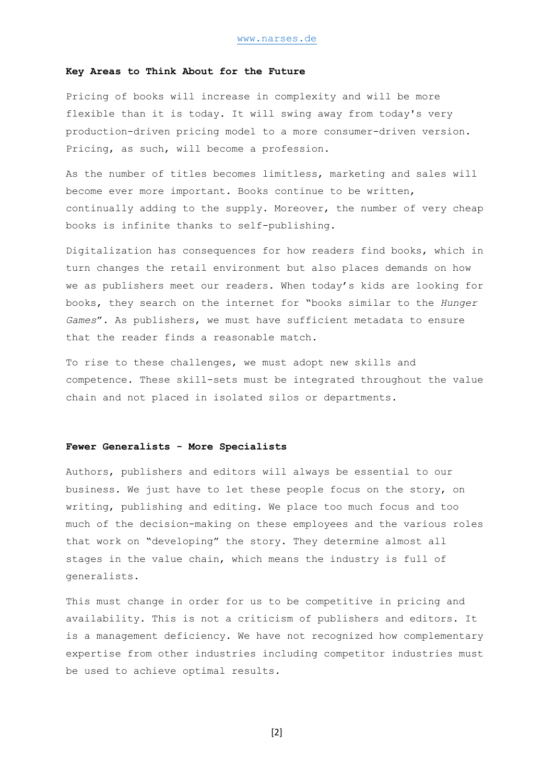# **Key Areas to Think About for the Future**

Pricing of books will increase in complexity and will be more flexible than it is today. It will swing away from today's very production-driven pricing model to a more consumer-driven version. Pricing, as such, will become a profession.

As the number of titles becomes limitless, marketing and sales will become ever more important. Books continue to be written, continually adding to the supply. Moreover, the number of very cheap books is infinite thanks to self-publishing.

Digitalization has consequences for how readers find books, which in turn changes the retail environment but also places demands on how we as publishers meet our readers. When today's kids are looking for books, they search on the internet for "books similar to the *Hunger Games*". As publishers, we must have sufficient metadata to ensure that the reader finds a reasonable match.

To rise to these challenges, we must adopt new skills and competence. These skill-sets must be integrated throughout the value chain and not placed in isolated silos or departments.

#### **Fewer Generalists - More Specialists**

Authors, publishers and editors will always be essential to our business. We just have to let these people focus on the story, on writing, publishing and editing. We place too much focus and too much of the decision-making on these employees and the various roles that work on "developing" the story. They determine almost all stages in the value chain, which means the industry is full of generalists.

This must change in order for us to be competitive in pricing and availability. This is not a criticism of publishers and editors. It is a management deficiency. We have not recognized how complementary expertise from other industries including competitor industries must be used to achieve optimal results.

[2]